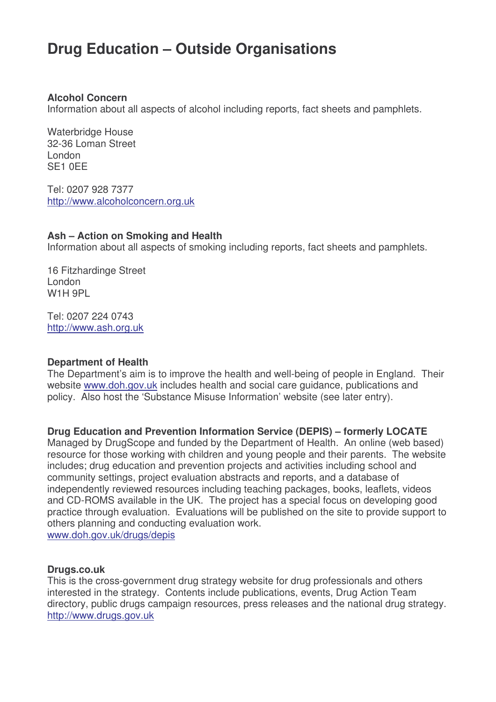# **Drug Education – Outside Organisations**

#### **Alcohol Concern**

Information about all aspects of alcohol including reports, fact sheets and pamphlets.

Waterbridge House 32-36 Loman Street London SE1 0EE

Tel: 0207 928 7377 http://www.alcoholconcern.org.uk

#### **Ash – Action on Smoking and Health**

Information about all aspects of smoking including reports, fact sheets and pamphlets.

16 Fitzhardinge Street London W<sub>1</sub>H 9PL

Tel: 0207 224 0743 http://www.ash.org.uk

#### **Department of Health**

The Department's aim is to improve the health and well-being of people in England. Their website www.doh.gov.uk includes health and social care guidance, publications and policy. Also host the 'Substance Misuse Information' website (see later entry).

**Drug Education and Prevention Information Service (DEPIS) – formerly LOCATE**

Managed by DrugScope and funded by the Department of Health. An online (web based) resource for those working with children and young people and their parents. The website includes; drug education and prevention projects and activities including school and community settings, project evaluation abstracts and reports, and a database of independently reviewed resources including teaching packages, books, leaflets, videos and CD-ROMS available in the UK. The project has a special focus on developing good practice through evaluation. Evaluations will be published on the site to provide support to others planning and conducting evaluation work. www.doh.gov.uk/drugs/depis

#### **Drugs.co.uk**

This is the cross-government drug strategy website for drug professionals and others interested in the strategy. Contents include publications, events, Drug Action Team directory, public drugs campaign resources, press releases and the national drug strategy. http://www.drugs.gov.uk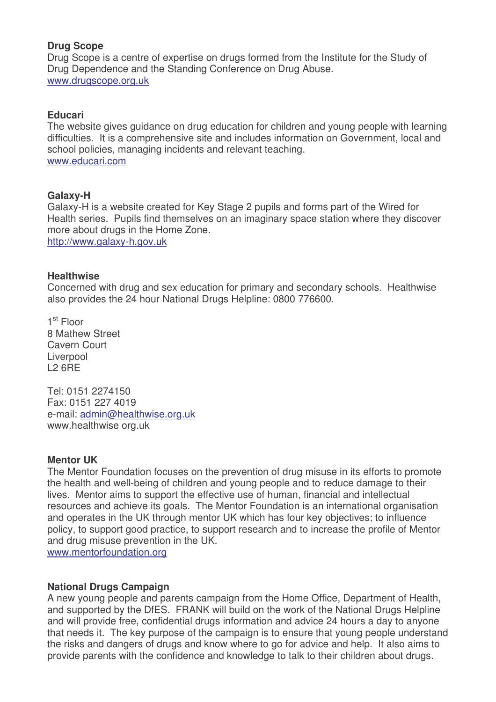# **Drug Scope**

Drug Scope is a centre of expertise on drugs formed from the Institute for the Study of Drug Dependence and the Standing Conference on Drug Abuse. www.drugscope.org.uk

# **Educari**

The website gives guidance on drug education for children and young people with learning difficulties. It is a comprehensive site and includes information on Government, local and school policies, managing incidents and relevant teaching. www.educari.com

## **Galaxy-H**

Galaxy-H is a website created for Key Stage 2 pupils and forms part of the Wired for Health series. Pupils find themselves on an imaginary space station where they discover more about drugs in the Home Zone. http://www.galaxy-h.gov.uk

## **Healthwise**

Concerned with drug and sex education for primary and secondary schools. Healthwise also provides the 24 hour National Drugs Helpline: 0800 776600.

1<sup>st</sup> Floor 8 Mathew Street Cavern Court Liverpool L2 6RE

Tel: 0151 2274150 Fax: 0151 227 4019 e-mail: admin@healthwise.org.uk www.healthwise org.uk

## **Mentor UK**

The Mentor Foundation focuses on the prevention of drug misuse in its efforts to promote the health and well-being of children and young people and to reduce damage to their lives. Mentor aims to support the effective use of human, financial and intellectual resources and achieve its goals. The Mentor Foundation is an international organisation and operates in the UK through mentor UK which has four key objectives; to influence policy, to support good practice, to support research and to increase the profile of Mentor and drug misuse prevention in the UK.

www.mentorfoundation.org

## **National Drugs Campaign**

A new young people and parents campaign from the Home Office, Department of Health, and supported by the DfES. FRANK will build on the work of the National Drugs Helpline and will provide free, confidential drugs information and advice 24 hours a day to anyone that needs it. The key purpose of the campaign is to ensure that young people understand the risks and dangers of drugs and know where to go for advice and help. It also aims to provide parents with the confidence and knowledge to talk to their children about drugs.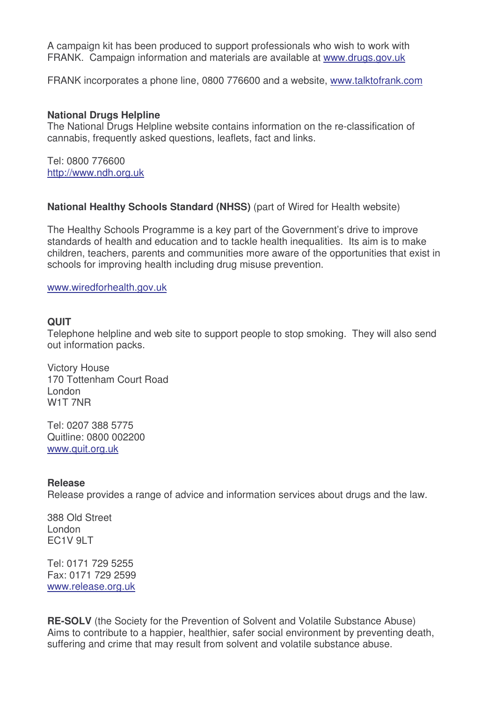A campaign kit has been produced to support professionals who wish to work with FRANK. Campaign information and materials are available at www.drugs.gov.uk

FRANK incorporates a phone line, 0800 776600 and a website, www.talktofrank.com

#### **National Drugs Helpline**

The National Drugs Helpline website contains information on the re-classification of cannabis, frequently asked questions, leaflets, fact and links.

Tel: 0800 776600 http://www.ndh.org.uk

## **National Healthy Schools Standard (NHSS)** (part of Wired for Health website)

The Healthy Schools Programme is a key part of the Government's drive to improve standards of health and education and to tackle health inequalities. Its aim is to make children, teachers, parents and communities more aware of the opportunities that exist in schools for improving health including drug misuse prevention.

www.wiredforhealth.gov.uk

## **QUIT**

Telephone helpline and web site to support people to stop smoking. They will also send out information packs.

Victory House 170 Tottenham Court Road London W1T 7NR

Tel: 0207 388 5775 Quitline: 0800 002200 www.quit.org.uk

#### **Release**

Release provides a range of advice and information services about drugs and the law.

388 Old Street London EC1V 9LT

Tel: 0171 729 5255 Fax: 0171 729 2599 www.release.org.uk

**RE-SOLV** (the Society for the Prevention of Solvent and Volatile Substance Abuse) Aims to contribute to a happier, healthier, safer social environment by preventing death, suffering and crime that may result from solvent and volatile substance abuse.